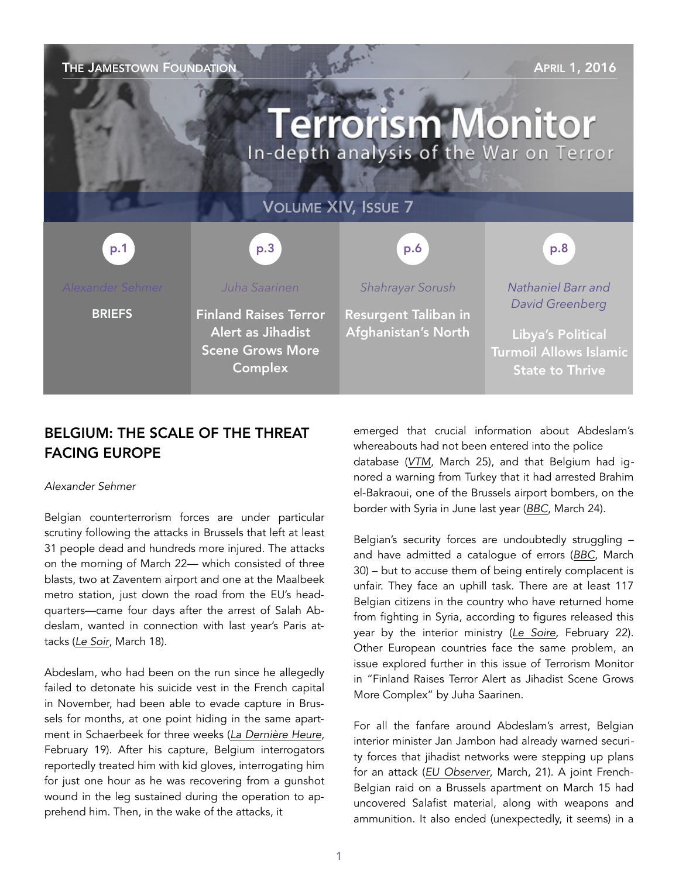THE JAMESTOWN FOUNDATION **THE SECTION APRIL 1, 2016 Terrorism Monitor** In-depth analysis of the War on Terror VOLUME XIV, ISSUE 7 p.3 p.1 p.1 p.3 p.3 p.6 p.6 p.8 p.8 *Juha Saarinen Shahrayar Sorush Nathaniel Barr and David Greenberg* **BRIEFS** Finland Raises Terror Resurgent Taliban in Alert as Jihadist Afghanistan's North Libya's Political Scene Grows More Turmoil Allows Islamic Complex State to Thrive

# BELGIUM: THE SCALE OF THE THREAT FACING EUROPE

## *Alexander Sehmer*

Belgian counterterrorism forces are under particular scrutiny following the attacks in Brussels that left at least 31 people dead and hundreds more injured. The attacks on the morning of March 22— which consisted of three blasts, two at Zaventem airport and one at the Maalbeek metro station, just down the road from the EU's headquarters—came four days after the arrest of Salah Abdeslam, wanted in connection with last year's Paris attacks (*[Le Soir](http://www.lesoir.be/1155105/article/actualite/belgique/2016-03-18/salah-abdeslam-arrete-molenbeek-operations-sont-terminees-direct-video)*, March 18).

Abdeslam, who had been on the run since he allegedly failed to detonate his suicide vest in the French capital in November, had been able to evade capture in Brussels for months, at one point hiding in the same apartment in Schaerbeek for three weeks (*[La Dernière Heure](http://www.dhnet.be/actu/faits/exclusif-salah-abdeslam-s-est-planque-20-jours-a-schaerbeek-56c613c7357013d1957f72c2)*, February 19). After his capture, Belgium interrogators reportedly treated him with kid gloves, interrogating him for just one hour as he was recovering from a gunshot wound in the leg sustained during the operation to apprehend him. Then, in the wake of the attacks, it

emerged that crucial information about Abdeslam's whereabouts had not been entered into the police database (*[VTM](http://nieuws.vtm.be/binnenland/184148-politie-kende-adres-abdeslam-al-4-maanden)*, March 25), and that Belgium had ignored a warning from Turkey that it had arrested Brahim el-Bakraoui, one of the Brussels airport bombers, on the border with Syria in June last year (*[BBC](http://www.bbc.co.uk/news/world-europe-35895416)*, March 24).

Belgian's security forces are undoubtedly struggling – and have admitted a catalogue of errors (*[BBC](http://www.bbc.co.uk/news/world-europe-35918282)*, March 30) – but to accuse them of being entirely complacent is unfair. They face an uphill task. There are at least 117 Belgian citizens in the country who have returned home from fighting in Syria, according to figures released this year by the interior ministry (*[Le Soire](http://www.lesoir.be/1129701/article/actualite/belgique/2016-02-22/117-djihadistes-partis-en-syrie-sont-revenus-en-belgique)*, February 22). Other European countries face the same problem, an issue explored further in this issue of Terrorism Monitor in "Finland Raises Terror Alert as Jihadist Scene Grows More Complex" by Juha Saarinen.

For all the fanfare around Abdeslam's arrest, Belgian interior minister Jan Jambon had already warned security forces that jihadist networks were stepping up plans for an attack (*[EU Observer](https://euobserver.com/justice/132757)*, March, 21). A joint French-Belgian raid on a Brussels apartment on March 15 had uncovered Salafist material, along with weapons and ammunition. It also ended (unexpectedly, it seems) in a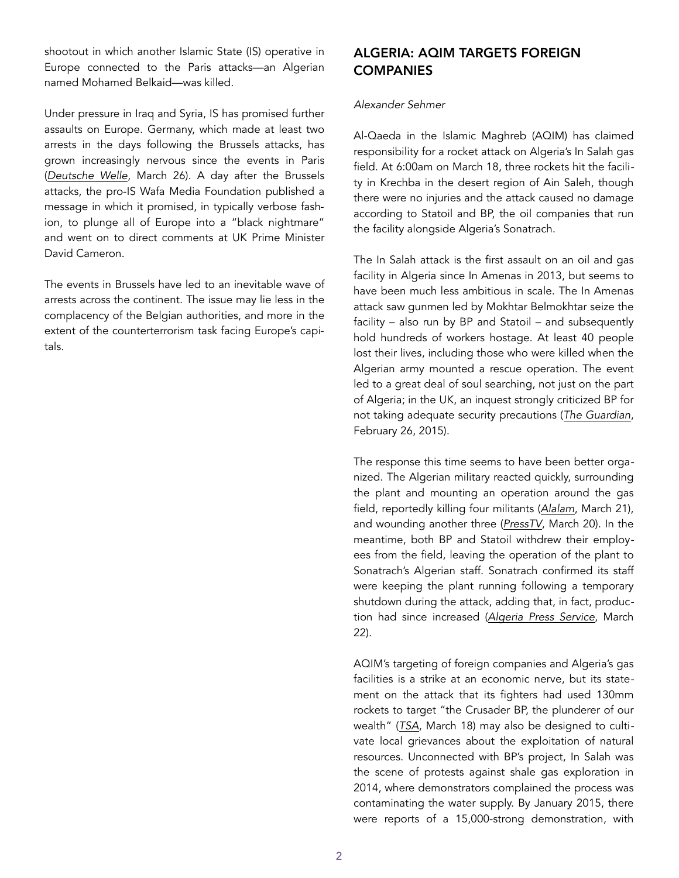shootout in which another Islamic State (IS) operative in Europe connected to the Paris attacks—an Algerian named Mohamed Belkaid—was killed.

Under pressure in Iraq and Syria, IS has promised further assaults on Europe. Germany, which made at least two arrests in the days following the Brussels attacks, has grown increasingly nervous since the events in Paris (*[Deutsche Welle](http://www.dw.com/en/italy-arrests-algerian-suspect-wanted-in-belgian-attacks-probe/a-19144500)*, March 26). A day after the Brussels attacks, the pro-IS Wafa Media Foundation published a message in which it promised, in typically verbose fashion, to plunge all of Europe into a "black nightmare" and went on to direct comments at UK Prime Minister David Cameron.

The events in Brussels have led to an inevitable wave of arrests across the continent. The issue may lie less in the complacency of the Belgian authorities, and more in the extent of the counterterrorism task facing Europe's capitals.

# ALGERIA: AQIM TARGETS FOREIGN **COMPANIES**

#### *Alexander Sehmer*

Al-Qaeda in the Islamic Maghreb (AQIM) has claimed responsibility for a rocket attack on Algeria's In Salah gas field. At 6:00am on March 18, three rockets hit the facility in Krechba in the desert region of Ain Saleh, though there were no injuries and the attack caused no damage according to Statoil and BP, the oil companies that run the facility alongside Algeria's Sonatrach.

The In Salah attack is the first assault on an oil and gas facility in Algeria since In Amenas in 2013, but seems to have been much less ambitious in scale. The In Amenas attack saw gunmen led by Mokhtar Belmokhtar seize the facility – also run by BP and Statoil – and subsequently hold hundreds of workers hostage. At least 40 people lost their lives, including those who were killed when the Algerian army mounted a rescue operation. The event led to a great deal of soul searching, not just on the part of Algeria; in the UK, an inquest strongly criticized BP for not taking adequate security precautions (*[The Guardian](http://www.theguardian.com/world/2015/feb/26/in-amenas-murders-coroner-finds-algerian-gas-plant-had-security-flaws)*, February 26, 2015).

The response this time seems to have been better organized. The Algerian military reacted quickly, surrounding the plant and mounting an operation around the gas field, reportedly killing four militants (*[Alalam](http://en.alalam.ir/news/1800787)*, March 21), and wounding another three (*[PressTV](http://www.presstv.ir/Detail/2016/03/20/456766/Algeria-alQaeda-Krechba-Ain-Saleh--Abdelaziz-Bouteflika-BP)*, March 20). In the meantime, both BP and Statoil withdrew their employees from the field, leaving the operation of the plant to Sonatrach's Algerian staff. Sonatrach confirmed its staff were keeping the plant running following a temporary shutdown during the attack, adding that, in fact, production had since increased (*[Algeria Press Service](http://www.aps.dz/en/economy/11609-sonatrach-personnel-continue-to-ensure-production-in-krechba-gas-field)*, March 22).

AQIM's targeting of foreign companies and Algeria's gas facilities is a strike at an economic nerve, but its statement on the attack that its fighters had used 130mm rockets to target "the Crusader BP, the plunderer of our wealth" (*[TSA](http://www.tsa-algerie.com/20160318/al-qaida-maghreb-revendique-lattaque-contre-site-gazier-pres-din-amenas/)*, March 18) may also be designed to cultivate local grievances about the exploitation of natural resources. Unconnected with BP's project, In Salah was the scene of protests against shale gas exploration in 2014, where demonstrators complained the process was contaminating the water supply. By January 2015, there were reports of a 15,000-strong demonstration, with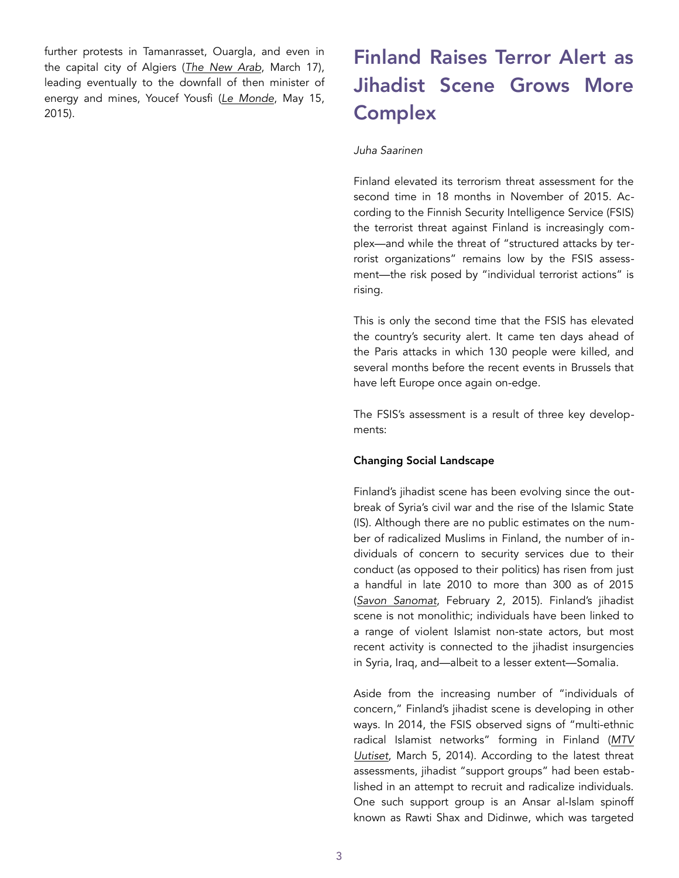further protests in Tamanrasset, Ouargla, and even in the capital city of Algiers (*[The New Arab](https://www.alaraby.co.uk/english/politics/2015/3/18/shale-gas-protesters-defy-algiers-iron-grip)*, March 17), leading eventually to the downfall of then minister of energy and mines, Youcef Yousfi (*[Le Monde](http://www.lemonde.fr/afrique/article/2015/05/15/algerie-l-exploitation-controversee-du-gaz-de-schiste-fait-tomber-le-ministre-de-l-energie_4634102_3212.html#o1MxPBxgO0Fx5Tl1.99)*, May 15, 2015).

# Finland Raises Terror Alert as Jihadist Scene Grows More **Complex**

#### *Juha Saarinen*

Finland elevated its terrorism threat assessment for the second time in 18 months in November of 2015. According to the Finnish Security Intelligence Service (FSIS) the terrorist threat against Finland is increasingly complex—and while the threat of "structured attacks by terrorist organizations" remains low by the FSIS assessment—the risk posed by "individual terrorist actions" is rising.

This is only the second time that the FSIS has elevated the country's security alert. It came ten days ahead of the Paris attacks in which 130 people were killed, and several months before the recent events in Brussels that have left Europe once again on-edge.

The FSIS's assessment is a result of three key developments:

## Changing Social Landscape

Finland's jihadist scene has been evolving since the outbreak of Syria's civil war and the rise of the Islamic State (IS). Although there are no public estimates on the number of radicalized Muslims in Finland, the number of individuals of concern to security services due to their conduct (as opposed to their politics) has risen from just a handful in late 2010 to more than 300 as of 2015 (*[Savon Sanomat](http://www.savonsanomat.fi/kotimaa/Supon-etsiv%25C3%25A4t-yli-300-henkil%25C3%25B6n-kannoilla/520535?pwbi=21523ea609dbe7d696e7796098e9b47d)*, February 2, 2015). Finland's jihadist scene is not monolithic; individuals have been linked to a range of violent Islamist non-state actors, but most recent activity is connected to the jihadist insurgencies in Syria, Iraq, and—albeit to a lesser extent—Somalia.

Aside from the increasing number of "individuals of concern," Finland's jihadist scene is developing in other ways. In 2014, the FSIS observed signs of "multi-ethnic [radical Islamist networks" forming in Finland \(](http://www.mtv.fi/uutiset/rikos/artikkeli/supo--syyrian-suomalaisjihadisteissa-muhii-terrorismiongelma/3054862)*MTV Uutiset*, March 5, 2014). According to the latest threat assessments, jihadist "support groups" had been established in an attempt to recruit and radicalize individuals. One such support group is an Ansar al-Islam spinoff known as Rawti Shax and Didinwe, which was targeted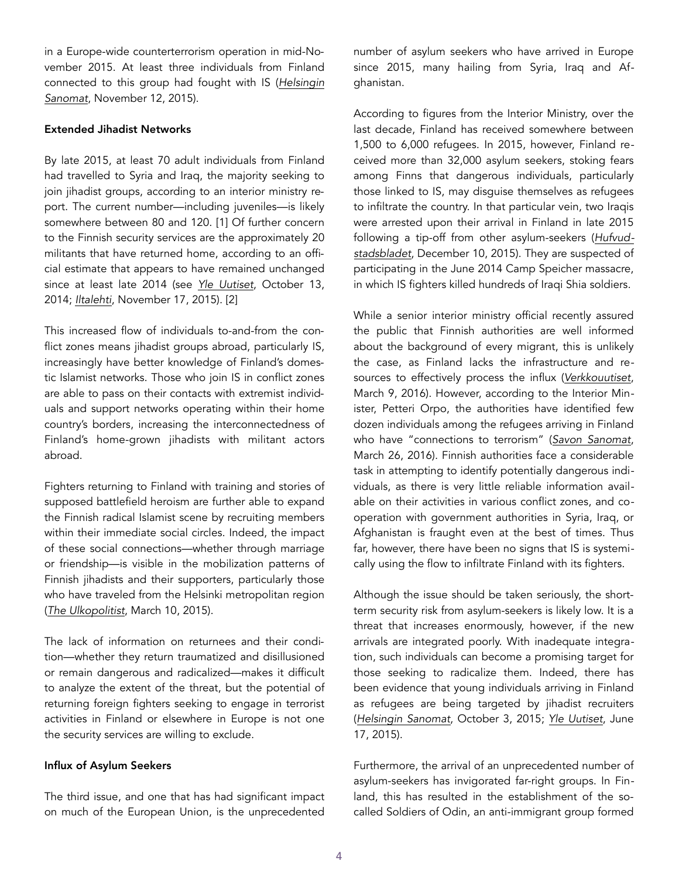in a Europe-wide counterterrorism operation in mid-November 2015. At least three individuals from Finland [connected to this group had fought with IS \(](http://www.hs.fi/ulkomaat/a1447302121395)*Helsingin Sanomat*, November 12, 2015).

## Extended Jihadist Networks

By late 2015, at least 70 adult individuals from Finland had travelled to Syria and Iraq, the majority seeking to join jihadist groups, according to an interior ministry report. The current number—including juveniles—is likely somewhere between 80 and 120. [1] Of further concern to the Finnish security services are the approximately 20 militants that have returned home, according to an official estimate that appears to have remained unchanged since at least late 2014 (see *[Yle Uutiset](http://yle.fi/uutiset/supo_syyriasta_palannut_noin_20_ihmista_suomeen/7526501)*, October 13, 2014; *[Iltalehti](http://www.iltalehti.fi/uutiset/2015111720681924_uu.shtml)*, November 17, 2015). [2]

This increased flow of individuals to-and-from the conflict zones means jihadist groups abroad, particularly IS, increasingly have better knowledge of Finland's domestic Islamist networks. Those who join IS in conflict zones are able to pass on their contacts with extremist individuals and support networks operating within their home country's borders, increasing the interconnectedness of Finland's home-grown jihadists with militant actors abroad.

Fighters returning to Finland with training and stories of supposed battlefield heroism are further able to expand the Finnish radical Islamist scene by recruiting members within their immediate social circles. Indeed, the impact of these social connections—whether through marriage or friendship—is visible in the mobilization patterns of Finnish jihadists and their supporters, particularly those who have traveled from the Helsinki metropolitan region (*[The Ulkopolitist](http://ulkopolitist.fi/2015/03/10/vakivaltainen-islamismi-ja-sosiaaliset-verkostot/)*, March 10, 2015).

The lack of information on returnees and their condition—whether they return traumatized and disillusioned or remain dangerous and radicalized—makes it difficult to analyze the extent of the threat, but the potential of returning foreign fighters seeking to engage in terrorist activities in Finland or elsewhere in Europe is not one the security services are willing to exclude.

## Influx of Asylum Seekers

The third issue, and one that has had significant impact on much of the European Union, is the unprecedented number of asylum seekers who have arrived in Europe since 2015, many hailing from Syria, Iraq and Afghanistan.

According to figures from the Interior Ministry, over the last decade, Finland has received somewhere between 1,500 to 6,000 refugees. In 2015, however, Finland received more than 32,000 asylum seekers, stoking fears among Finns that dangerous individuals, particularly those linked to IS, may disguise themselves as refugees to infiltrate the country. In that particular vein, two Iraqis were arrested upon their arrival in Finland in late 2015 [following a tip-off from other asylum-seekers \(](http://gamla.hbl.fi/nyheter/2015-12-10/781829/mtv-asylsokande-misstankts-mord)*Hufvudstadsbladet*, December 10, 2015). They are suspected of participating in the June 2014 Camp Speicher massacre, in which IS fighters killed hundreds of Iraqi Shia soldiers.

While a senior interior ministry official recently assured the public that Finnish authorities are well informed about the background of every migrant, this is unlikely the case, as Finland lacks the infrastructure and resources to effectively process the influx (*[Verkkouutiset](http://www.verkkouutiset.fi/kotimaa/ps_mika_raatikainen_nerg-47681)*, March 9, 2016). However, according to the Interior Minister, Petteri Orpo, the authorities have identified few dozen individuals among the refugees arriving in Finland who have "connections to terrorism" (*[Savon Sanomat](http://www.savonsanomat.fi/kotimaa/Terroritaustaisia-henkil%25C3%25B6it%25C3%25A4-on-tullut-kymmeni%25C3%25A4-Suomeen-talven-aikana/749900)*, March 26, 2016). Finnish authorities face a considerable task in attempting to identify potentially dangerous individuals, as there is very little reliable information available on their activities in various conflict zones, and cooperation with government authorities in Syria, Iraq, or Afghanistan is fraught even at the best of times. Thus far, however, there have been no signs that IS is systemically using the flow to infiltrate Finland with its fighters.

Although the issue should be taken seriously, the shortterm security risk from asylum-seekers is likely low. It is a threat that increases enormously, however, if the new arrivals are integrated poorly. With inadequate integration, such individuals can become a promising target for those seeking to radicalize them. Indeed, there has been evidence that young individuals arriving in Finland as refugees are being targeted by jihadist recruiters (*[Helsingin Sanomat](http://www.hs.fi/kotimaa/a1443764751010)*, October 3, 2015; *[Yle Uutiset](http://yle.fi/uutiset/isis_haluaisi_minut__nain_taistelijoita_varvataan_suomessa/8066530)*, June 17, 2015).

Furthermore, the arrival of an unprecedented number of asylum-seekers has invigorated far-right groups. In Finland, this has resulted in the establishment of the socalled Soldiers of Odin, an anti-immigrant group formed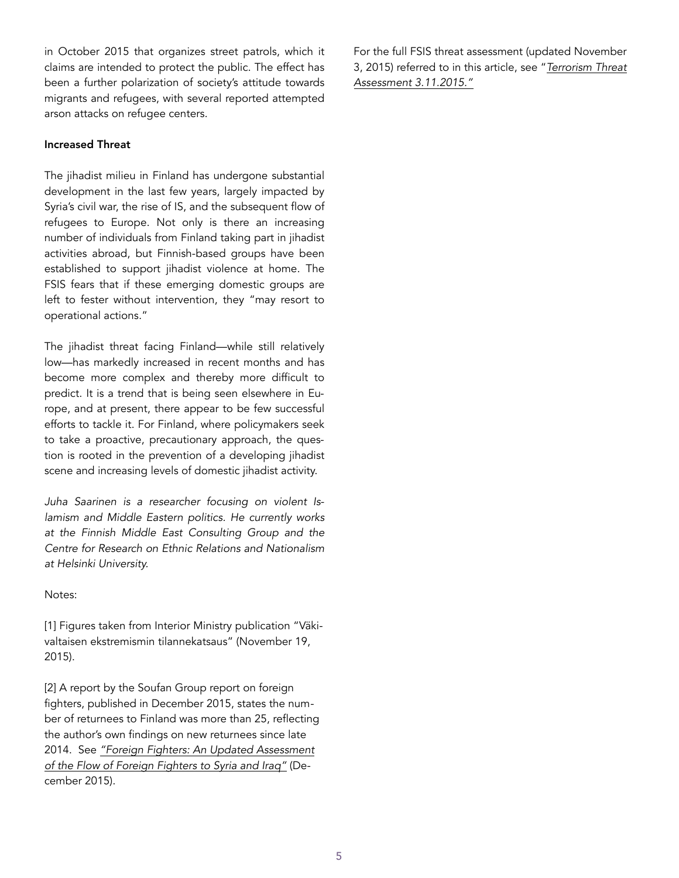in October 2015 that organizes street patrols, which it claims are intended to protect the public. The effect has been a further polarization of society's attitude towards migrants and refugees, with several reported attempted arson attacks on refugee centers.

#### Increased Threat

The jihadist milieu in Finland has undergone substantial development in the last few years, largely impacted by Syria's civil war, the rise of IS, and the subsequent flow of refugees to Europe. Not only is there an increasing number of individuals from Finland taking part in jihadist activities abroad, but Finnish-based groups have been established to support jihadist violence at home. The FSIS fears that if these emerging domestic groups are left to fester without intervention, they "may resort to operational actions."

The jihadist threat facing Finland—while still relatively low—has markedly increased in recent months and has become more complex and thereby more difficult to predict. It is a trend that is being seen elsewhere in Europe, and at present, there appear to be few successful efforts to tackle it. For Finland, where policymakers seek to take a proactive, precautionary approach, the question is rooted in the prevention of a developing jihadist scene and increasing levels of domestic jihadist activity.

*Juha Saarinen is a researcher focusing on violent Islamism and Middle Eastern politics. He currently works at the Finnish Middle East Consulting Group and the Centre for Research on Ethnic Relations and Nationalism at Helsinki University.*

Notes:

[1] Figures taken from Interior Ministry publication "Väkivaltaisen ekstremismin tilannekatsaus" (November 19, 2015).

[2] A report by the Soufan Group report on foreign fighters, published in December 2015, states the number of returnees to Finland was more than 25, reflecting the author's own findings on new returnees since late 2014. See *"Foreign Fighters: An Updated Assessment [of the Flow of Foreign Fighters to Syria and Iraq"](http://soufangroup.com/wp-content/uploads/2015/12/TSG_ForeignFightersUpdate1.pdf)* (December 2015).

For the full FSIS threat assessment (updated November [3, 2015\) referred to in this article, see "](http://www.supo.fi/counterterrorism/terrorism_threat_assessment)*Terrorism Threat Assessment 3.11.2015."*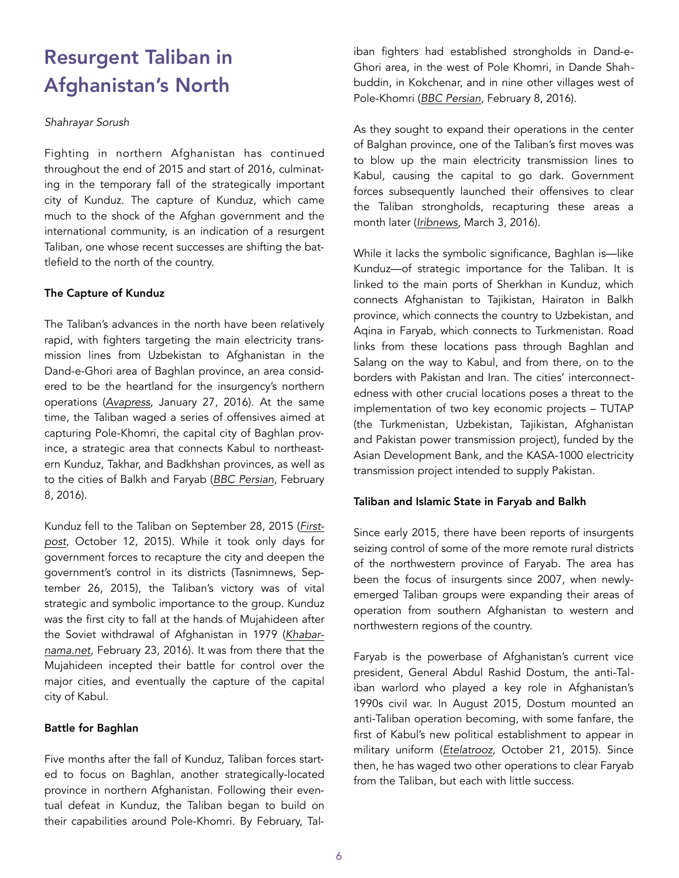# Resurgent Taliban in Afghanistan's North

## *Shahrayar Sorush*

Fighting in northern Afghanistan has continued throughout the end of 2015 and start of 2016, culminating in the temporary fall of the strategically important city of Kunduz. The capture of Kunduz, which came much to the shock of the Afghan government and the international community, is an indication of a resurgent Taliban, one whose recent successes are shifting the battlefield to the north of the country.

## The Capture of Kunduz

The Taliban's advances in the north have been relatively rapid, with fighters targeting the main electricity transmission lines from Uzbekistan to Afghanistan in the Dand-e-Ghori area of Baghlan province, an area considered to be the heartland for the insurgency's northern operations (*[Avapress](http://avapress.com/vdcbw8b8frhb59p.uiur.html)*, January 27, 2016). At the same time, the Taliban waged a series of offensives aimed at capturing Pole-Khomri, the capital city of Baghlan province, a strategic area that connects Kabul to northeastern Kunduz, Takhar, and Badkhshan provinces, as well as to the cities of Balkh and Faryab (*[BBC Persian](http://www.bbc.com/persian/afghanistan/2016/02/160208_k02-baghlan-fighting)*, February 8, 2016).

[Kunduz fell to the Taliban on September 28, 2015 \(](http://www.bbc.com/persian/afghanistan/2016/02/160208_k02-baghlan-fighting)*Firstpost*, October 12, 2015). While it took only days for government forces to recapture the city and deepen the government's control in its districts (Tasnimnews, September 26, 2015), the Taliban's victory was of vital strategic and symbolic importance to the group. Kunduz was the first city to fall at the hands of Mujahideen after [the Soviet withdrawal of Afghanistan in 1979 \(](http://khabarnama.net/blog/2016/02/23/time-for-peace-in-afghanistan/)*Khabarnama.net*, February 23, 2016). It was from there that the Mujahideen incepted their battle for control over the major cities, and eventually the capture of the capital city of Kabul.

## Battle for Baghlan

Five months after the fall of Kunduz, Taliban forces started to focus on Baghlan, another strategically-located province in northern Afghanistan. Following their eventual defeat in Kunduz, the Taliban began to build on their capabilities around Pole-Khomri. By February, Taliban fighters had established strongholds in Dand-e-Ghori area, in the west of Pole Khomri, in Dande Shahbuddin, in Kokchenar, and in nine other villages west of Pole-Khomri (*[BBC Persian](http://www.bbc.com/persian/afghanistan/2016/02/160208_k02-baghlan-fighting)*, February 8, 2016).

As they sought to expand their operations in the center of Balghan province, one of the Taliban's first moves was to blow up the main electricity transmission lines to Kabul, causing the capital to go dark. Government forces subsequently launched their offensives to clear the Taliban strongholds, recapturing these areas a month later (*[Iribnews](http://www.iribnews.ir/fa/news/1052826/%25D9%2585%25D9%2586%25D8%25B7%25D9%2582%25D9%2587-%25D8%25AF%25D9%2586%25D8%25AF-%25D8%25BA%25D9%2588%25D8%25B1%25DB%258C-%25D8%25A7%25D9%2581%25D8%25BA%25D8%25A7%25D9%2586%25D8%25B3%25D8%25AA%25D8%25A7%25D9%2586-%25D8%25A7%25D8%25B2-%25D8%25B7%25D8%25A7%25D9%2584%25D8%25A8%25D8%25A7%25D9%2586-%25D9%25BE%25D8%25B3-%25DA%25AF%25D8%25B1%25D9%2581%25D8%25AA%25D9%2587-%25D8%25B4%25D8%25AF)*, March 3, 2016).

While it lacks the symbolic significance, Baghlan is—like Kunduz—of strategic importance for the Taliban. It is linked to the main ports of Sherkhan in Kunduz, which connects Afghanistan to Tajikistan, Hairaton in Balkh province, which connects the country to Uzbekistan, and Aqina in Faryab, which connects to Turkmenistan. Road links from these locations pass through Baghlan and Salang on the way to Kabul, and from there, on to the borders with Pakistan and Iran. The cities' interconnectedness with other crucial locations poses a threat to the implementation of two key economic projects – TUTAP (the Turkmenistan, Uzbekistan, Tajikistan, Afghanistan and Pakistan power transmission project), funded by the Asian Development Bank, and the KASA-1000 electricity transmission project intended to supply Pakistan.

## Taliban and Islamic State in Faryab and Balkh

Since early 2015, there have been reports of insurgents seizing control of some of the more remote rural districts of the northwestern province of Faryab. The area has been the focus of insurgents since 2007, when newlyemerged Taliban groups were expanding their areas of operation from southern Afghanistan to western and northwestern regions of the country.

Faryab is the powerbase of Afghanistan's current vice president, General Abdul Rashid Dostum, the anti-Taliban warlord who played a key role in Afghanistan's 1990s civil war. In August 2015, Dostum mounted an anti-Taliban operation becoming, with some fanfare, the first of Kabul's new political establishment to appear in military uniform (*[Etelatrooz](http://www.etilaatroz.com/34463)*, October 21, 2015). Since then, he has waged two other operations to clear Faryab from the Taliban, but each with little success.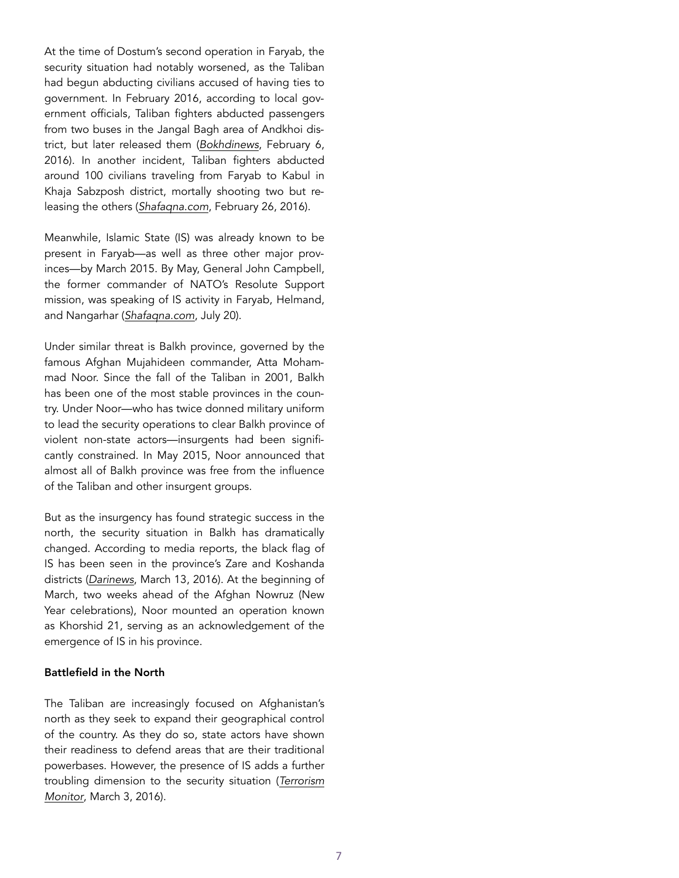At the time of Dostum's second operation in Faryab, the security situation had notably worsened, as the Taliban had begun abducting civilians accused of having ties to government. In February 2016, according to local government officials, Taliban fighters abducted passengers from two buses in the Jangal Bagh area of Andkhoi district, but later released them (*[Bokhdinews](http://www.bokhdinews.af/human-rights/22281-%25D8%25B7%25D8%25A7%25D9%2584%25D8%25A8%25D8%25A7%25D9%2586-%25D8%25AF%25D8%25B1-%25D9%2581%25D8%25A7%25D8%25B1%25DB%258C%25D8%25A7%25D8%25A8-%25D8%25B3%25D8%25B1%25D9%2586%25D8%25B4%25DB%258C%25D9%2586%25D8%25A7%25D9%2586-%25D8%25AF%25D9%2588-%25D9%2585%25D9%2588%25D8%25AA%25D8%25B1-%25D9%2585%25D8%25B3%25D8%25A7%25D9%2581%25D8%25B1%25DB%258C-%25D8%25B1%25D8%25A7-%25D8%25A8%25D9%2587-%25DA%25AF%25D8%25B1%25D9%2588%25DA%25AF%25D8%25A7%25D9%2586-%25DA%25AF%25D8%25B1%25D9%2581%25D8%25AA%25D9%2586%25D8%25AF)*, February 6, 2016). In another incident, Taliban fighters abducted around 100 civilians traveling from Faryab to Kabul in Khaja Sabzposh district, mortally shooting two but releasing the others (*[Shafaqna.com](http://af.shafaqna.com/FA/114985)*, February 26, 2016).

Meanwhile, Islamic State (IS) was already known to be present in Faryab—as well as three other major provinces—by March 2015. By May, General John Campbell, the former commander of NATO's Resolute Support mission, was speaking of IS activity in Faryab, Helmand, and Nangarhar (*[Shafaqna.com](http://af.shafaqna.com/FA/013081)*, July 20).

Under similar threat is Balkh province, governed by the famous Afghan Mujahideen commander, Atta Mohammad Noor. Since the fall of the Taliban in 2001, Balkh has been one of the most stable provinces in the country. Under Noor—who has twice donned military uniform to lead the security operations to clear Balkh province of violent non-state actors—insurgents had been significantly constrained. In May 2015, Noor announced that almost all of Balkh province was free from the influence of the Taliban and other insurgent groups.

But as the insurgency has found strategic success in the north, the security situation in Balkh has dramatically changed. According to media reports, the black flag of IS has been seen in the province's Zare and Koshanda districts (*[Darinews](http://www.darinews.com/%25D9%2588%25D8%25A7%25D9%2584%25DB%258C-%25D8%25A8%25D9%2584%25D8%25AE-%25D8%25AF%25D8%25A7%25D8%25B9%25D8%25B4%25DB%258C%25D8%25A7%25D9%2586-%25D8%25A8%25D9%2587-%25D8%25AF%25D9%2586%25D8%25A8%25D8%25A7%25D9%2584-%25D9%2586%25D9%2581%25D9%2588%25D8%25B0-%25D8%25AF%25D8%25B1-%25D8%25A8%25D9%2584%25D8%25AE-%25D9%2587/)*, March 13, 2016). At the beginning of March, two weeks ahead of the Afghan Nowruz (New Year celebrations), Noor mounted an operation known as Khorshid 21, serving as an acknowledgement of the emergence of IS in his province.

#### Battlefield in the North

The Taliban are increasingly focused on Afghanistan's north as they seek to expand their geographical control of the country. As they do so, state actors have shown their readiness to defend areas that are their traditional powerbases. However, the presence of IS adds a further [troubling dimension to the security situation \(](http://www.jamestown.org/programs/tm/single/?tx_ttnews%255Btt_news%255D=45163&tx_ttnews%255BbackPid%255D=26&cHash=fbcc636d0f921774d5596741946b55ac)*Terrorism Monitor*, March 3, 2016).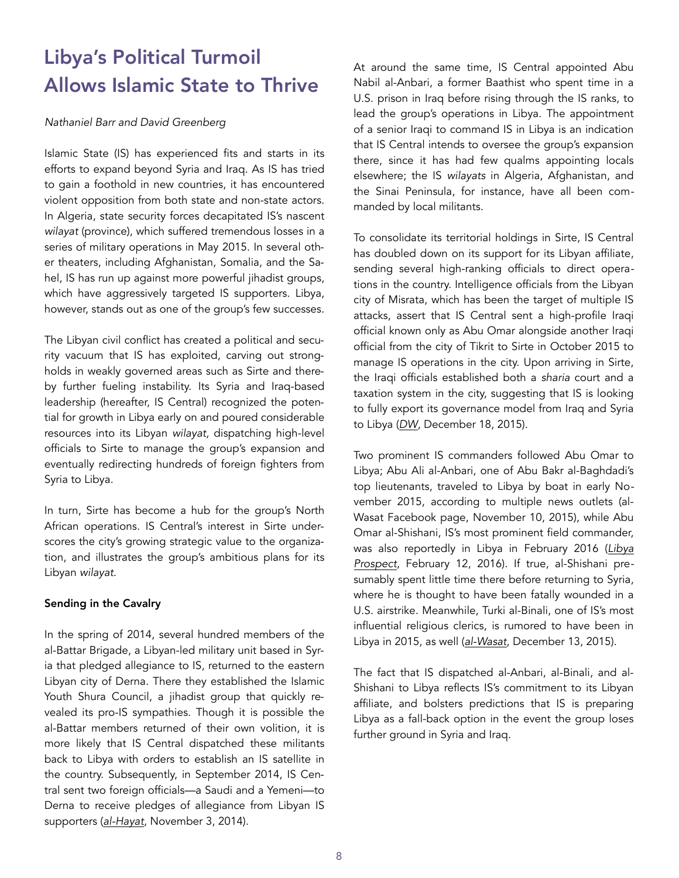# Libya's Political Turmoil Allows Islamic State to Thrive

#### *Nathaniel Barr and David Greenberg*

Islamic State (IS) has experienced fits and starts in its efforts to expand beyond Syria and Iraq. As IS has tried to gain a foothold in new countries, it has encountered violent opposition from both state and non-state actors. In Algeria, state security forces decapitated IS's nascent *wilayat* (province), which suffered tremendous losses in a series of military operations in May 2015. In several other theaters, including Afghanistan, Somalia, and the Sahel, IS has run up against more powerful jihadist groups, which have aggressively targeted IS supporters. Libya, however, stands out as one of the group's few successes.

The Libyan civil conflict has created a political and security vacuum that IS has exploited, carving out strongholds in weakly governed areas such as Sirte and thereby further fueling instability. Its Syria and Iraq-based leadership (hereafter, IS Central) recognized the potential for growth in Libya early on and poured considerable resources into its Libyan *wilayat,* dispatching high-level officials to Sirte to manage the group's expansion and eventually redirecting hundreds of foreign fighters from Syria to Libya.

In turn, Sirte has become a hub for the group's North African operations. IS Central's interest in Sirte underscores the city's growing strategic value to the organization, and illustrates the group's ambitious plans for its Libyan *wilayat*.

## Sending in the Cavalry

In the spring of 2014, several hundred members of the al-Battar Brigade, a Libyan-led military unit based in Syria that pledged allegiance to IS, returned to the eastern Libyan city of Derna. There they established the Islamic Youth Shura Council, a jihadist group that quickly revealed its pro-IS sympathies. Though it is possible the al-Battar members returned of their own volition, it is more likely that IS Central dispatched these militants back to Libya with orders to establish an IS satellite in the country. Subsequently, in September 2014, IS Central sent two foreign officials—a Saudi and a Yemeni—to Derna to receive pledges of allegiance from Libyan IS supporters (*[al-Hayat](http://www.alhayat.com/Articles/5450419)*, November 3, 2014).

At around the same time, IS Central appointed Abu Nabil al-Anbari, a former Baathist who spent time in a U.S. prison in Iraq before rising through the IS ranks, to lead the group's operations in Libya. The appointment of a senior Iraqi to command IS in Libya is an indication that IS Central intends to oversee the group's expansion there, since it has had few qualms appointing locals elsewhere; the IS *wilayats* in Algeria, Afghanistan, and the Sinai Peninsula, for instance, have all been commanded by local militants.

To consolidate its territorial holdings in Sirte, IS Central has doubled down on its support for its Libyan affiliate, sending several high-ranking officials to direct operations in the country. Intelligence officials from the Libyan city of Misrata, which has been the target of multiple IS attacks, assert that IS Central sent a high-profile Iraqi official known only as Abu Omar alongside another Iraqi official from the city of Tikrit to Sirte in October 2015 to manage IS operations in the city. Upon arriving in Sirte, the Iraqi officials established both a *sharia* court and a taxation system in the city, suggesting that IS is looking to fully export its governance model from Iraq and Syria to Libya (*[DW](http://www.dw.com/en/islamic-state-holds-libyan-town-in-grip-of-terror/a-18926131)*, December 18, 2015).

Two prominent IS commanders followed Abu Omar to Libya; Abu Ali al-Anbari, one of Abu Bakr al-Baghdadi's top lieutenants, traveled to Libya by boat in early November 2015, according to multiple news outlets (al-Wasat Facebook page, November 10, 2015), while Abu Omar al-Shishani, IS's most prominent field commander, [was also reportedly in Libya in February 2016 \(](http://libyaprospect.com/index.php/2016/02/12/the-is-most-wanted-chechen-leader-arrives-in-sirte/)*Libya Prospect*, February 12, 2016). If true, al-Shishani presumably spent little time there before returning to Syria, where he is thought to have been fatally wounded in a U.S. airstrike. Meanwhile, Turki al-Binali, one of IS's most influential religious clerics, is rumored to have been in Libya in 2015, as well (*[al-Wasat](http://www.alwasat.ly/ar/news/libya/89059/)*, December 13, 2015).

The fact that IS dispatched al-Anbari, al-Binali, and al-Shishani to Libya reflects IS's commitment to its Libyan affiliate, and bolsters predictions that IS is preparing Libya as a fall-back option in the event the group loses further ground in Syria and Iraq.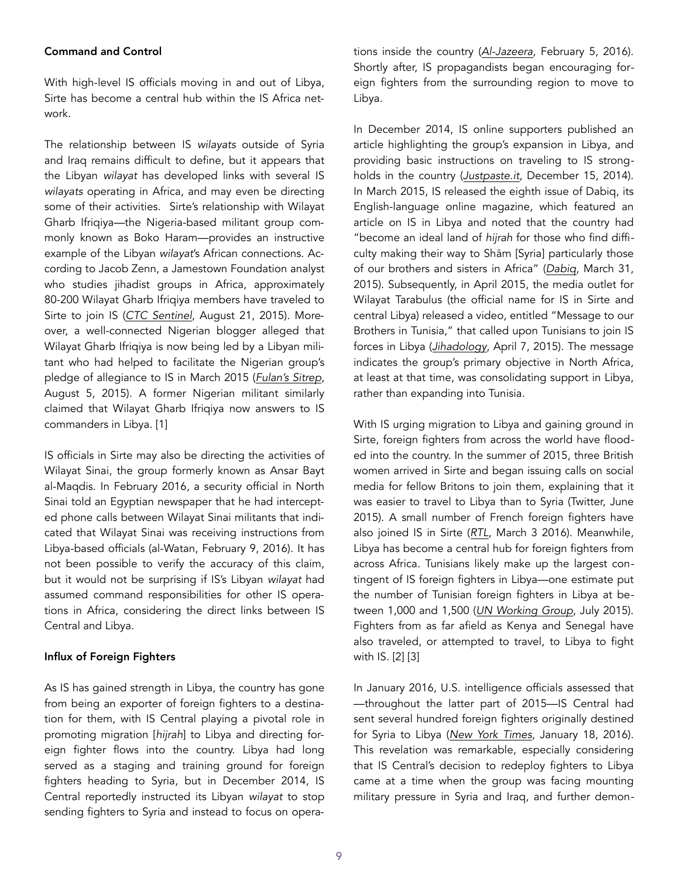#### Command and Control

With high-level IS officials moving in and out of Libya, Sirte has become a central hub within the IS Africa network.

The relationship between IS *wilayats* outside of Syria and Iraq remains difficult to define, but it appears that the Libyan *wilayat* has developed links with several IS *wilayats* operating in Africa, and may even be directing some of their activities. Sirte's relationship with Wilayat Gharb Ifriqiya—the Nigeria-based militant group commonly known as Boko Haram—provides an instructive example of the Libyan *wilayat*'s African connections. According to Jacob Zenn, a Jamestown Foundation analyst who studies jihadist groups in Africa, approximately 80-200 Wilayat Gharb Ifriqiya members have traveled to Sirte to join IS (*[CTC Sentinel](https://www.ctc.usma.edu/posts/wilayat-west-africa-reboots-for-the-caliphate)*, August 21, 2015). Moreover, a well-connected Nigerian blogger alleged that Wilayat Gharb Ifriqiya is now being led by a Libyan militant who had helped to facilitate the Nigerian group's pledge of allegiance to IS in March 2015 (*[Fulan's Sitrep](http://fulansitrep.com/2015/08/05/august-5th-2015-sitrep/)*, August 5, 2015). A former Nigerian militant similarly claimed that Wilayat Gharb Ifriqiya now answers to IS commanders in Libya. [1]

IS officials in Sirte may also be directing the activities of Wilayat Sinai, the group formerly known as Ansar Bayt al-Maqdis. In February 2016, a security official in North Sinai told an Egyptian newspaper that he had intercepted phone calls between Wilayat Sinai militants that indicated that Wilayat Sinai was receiving instructions from Libya-based officials (al-Watan, February 9, 2016). It has not been possible to verify the accuracy of this claim, but it would not be surprising if IS's Libyan *wilayat* had assumed command responsibilities for other IS operations in Africa, considering the direct links between IS Central and Libya.

#### Influx of Foreign Fighters

As IS has gained strength in Libya, the country has gone from being an exporter of foreign fighters to a destination for them, with IS Central playing a pivotal role in promoting migration [*hijrah*] to Libya and directing foreign fighter flows into the country. Libya had long served as a staging and training ground for foreign fighters heading to Syria, but in December 2014, IS Central reportedly instructed its Libyan *wilayat* to stop sending fighters to Syria and instead to focus on operations inside the country (*[Al-Jazeera](http://www.aljazeera.com/news/2016/02/isil-presence-libya-grows-5000-fighters-160205065745718.html)*, February 5, 2016). Shortly after, IS propagandists began encouraging foreign fighters from the surrounding region to move to Libya.

In December 2014, IS online supporters published an article highlighting the group's expansion in Libya, and providing basic instructions on traveling to IS strongholds in the country (*[Justpaste.it](https://justpaste.it/libi)*, December 15, 2014). In March 2015, IS released the eighth issue of Dabiq, its English-language online magazine, which featured an article on IS in Libya and noted that the country had "become an ideal land of *hijrah* for those who find difficulty making their way to Shām [Syria] particularly those of our brothers and sisters in Africa" (*[Dabiq](http://media.clarionproject.org/files/islamic-state/isis-isil-islamic-state-magazine-issue+8-sharia-alone-will-rule-africa.pdf)*, March 31, 2015). Subsequently, in April 2015, the media outlet for Wilayat Tarabulus (the official name for IS in Sirte and central Libya) released a video, entitled "Message to our Brothers in Tunisia," that called upon Tunisians to join IS forces in Libya (*[Jihadology](http://jihadology.net/2015/04/07/new-video-message-from-the-islamic-state-message-to-our-brothers-in-tunisia-wilayat-%2525E1%2525B9%2525ADarabulus/+&cd=1&hl=en&ct=clnk&gl=tr)*, April 7, 2015). The message indicates the group's primary objective in North Africa, at least at that time, was consolidating support in Libya, rather than expanding into Tunisia.

With IS urging migration to Libya and gaining ground in Sirte, foreign fighters from across the world have flooded into the country. In the summer of 2015, three British women arrived in Sirte and began issuing calls on social media for fellow Britons to join them, explaining that it was easier to travel to Libya than to Syria (Twitter, June 2015). A small number of French foreign fighters have also joined IS in Sirte (*[RTL](http://www.rtl.fr/actu/international/etat-islamique-pourquoi-la-libye-est-une-terre-propice-au-jihad-aux-portes-de-l-europe-7782141231)*, March 3 2016). Meanwhile, Libya has become a central hub for foreign fighters from across Africa. Tunisians likely make up the largest contingent of IS foreign fighters in Libya—one estimate put the number of Tunisian foreign fighters in Libya at between 1,000 and 1,500 (*[UN Working Group](http://www.ohchr.org/EN/NewsEvents/Pages/DisplayNews.aspx?NewsID=16219&LangID=E)*, July 2015). Fighters from as far afield as Kenya and Senegal have also traveled, or attempted to travel, to Libya to fight with IS. [2] [3]

In January 2016, U.S. intelligence officials assessed that —throughout the latter part of 2015—IS Central had sent several hundred foreign fighters originally destined for Syria to Libya (*[New York Times](http://www.nytimes.com/2016/01/19/world/middleeast/in-libya-us-courts-unreliable-allies-to-counter-isis.html?_r=0)*, January 18, 2016). This revelation was remarkable, especially considering that IS Central's decision to redeploy fighters to Libya came at a time when the group was facing mounting military pressure in Syria and Iraq, and further demon